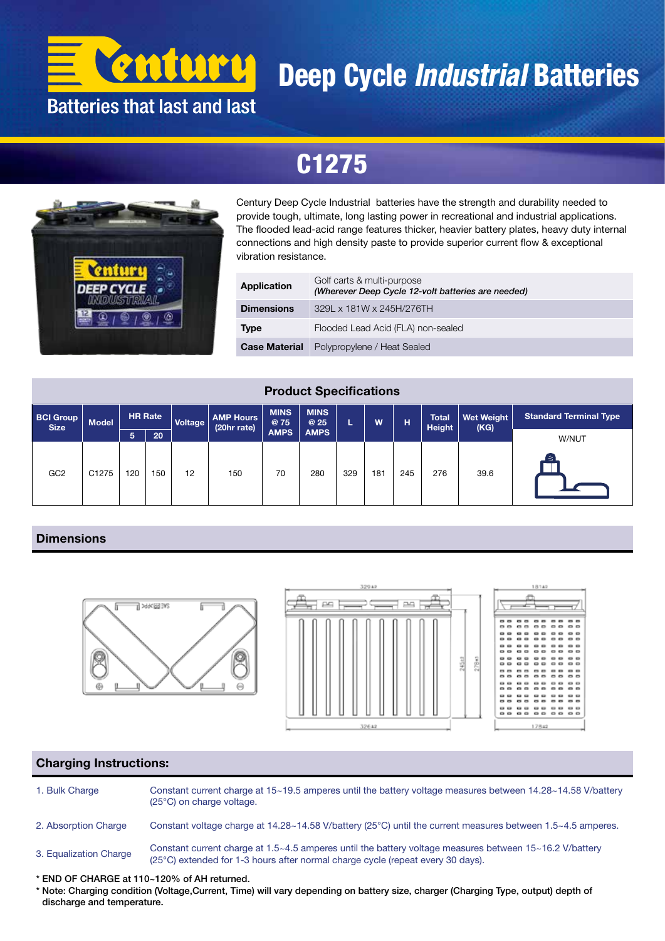

# Deep Cycle *Industrial* Batteries

## C1275



Century Deep Cycle Industrial batteries have the strength and durability needed to provide tough, ultimate, long lasting power in recreational and industrial applications. The flooded lead-acid range features thicker, heavier battery plates, heavy duty internal connections and high density paste to provide superior current flow & exceptional vibration resistance.

| Application          | Golf carts & multi-purpose<br>(Wherever Deep Cycle 12-volt batteries are needed) |  |  |  |  |  |  |  |  |
|----------------------|----------------------------------------------------------------------------------|--|--|--|--|--|--|--|--|
| <b>Dimensions</b>    | 329L x 181W x 245H/276TH                                                         |  |  |  |  |  |  |  |  |
| <b>Type</b>          | Flooded Lead Acid (FLA) non-sealed                                               |  |  |  |  |  |  |  |  |
| <b>Case Material</b> | Polypropylene / Heat Sealed                                                      |  |  |  |  |  |  |  |  |

#### Product Specifications

| <b>BCI Group</b><br><b>Size</b> | <b>Model</b> | <b>HR Rate</b> |     | Voltage | <b>AMP Hours</b><br>(20hr rate) | <b>MINS</b><br><b>@75</b> | <b>MINS</b><br>@ 25 |     | W   | 'Н, | <b>Total</b><br>Height | <b>Wet Weight</b><br>(KG) | <b>Standard Terminal Type</b> |
|---------------------------------|--------------|----------------|-----|---------|---------------------------------|---------------------------|---------------------|-----|-----|-----|------------------------|---------------------------|-------------------------------|
|                                 |              | 5              | 20  |         |                                 | <b>AMPS</b>               | <b>AMPS</b>         |     |     |     |                        |                           | W/NUT                         |
| GC <sub>2</sub>                 | C1275        | 120            | 150 | 12      | 150                             | 70                        | 280                 | 329 | 181 | 245 | 276                    | 39.6                      | ſΞ                            |

#### **Dimensions**





 $\overline{a}$ 

22

..<br>.. ...

....

#### Charging Instructions:

1. Bulk Charge Constant current charge at 15~19.5 amperes until the battery voltage measures between 14.28~14.58 V/battery (25°C) on charge voltage.

2. Absorption Charge Constant voltage charge at 14.28~14.58 V/battery (25°C) until the current measures between 1.5~4.5 amperes.

3. Equalization Charge Constant current charge at 1.5~4.5 amperes until the battery voltage measures between 15~16.2 V/battery (25°C) extended for 1-3 hours after normal charge cycle (repeat every 30 days).

\* END OF CHARGE at 110~120% of AH returned.

\* Note: Charging condition (Voltage,Current, Time) will vary depending on battery size, charger (Charging Type, output) depth of discharge and temperature.